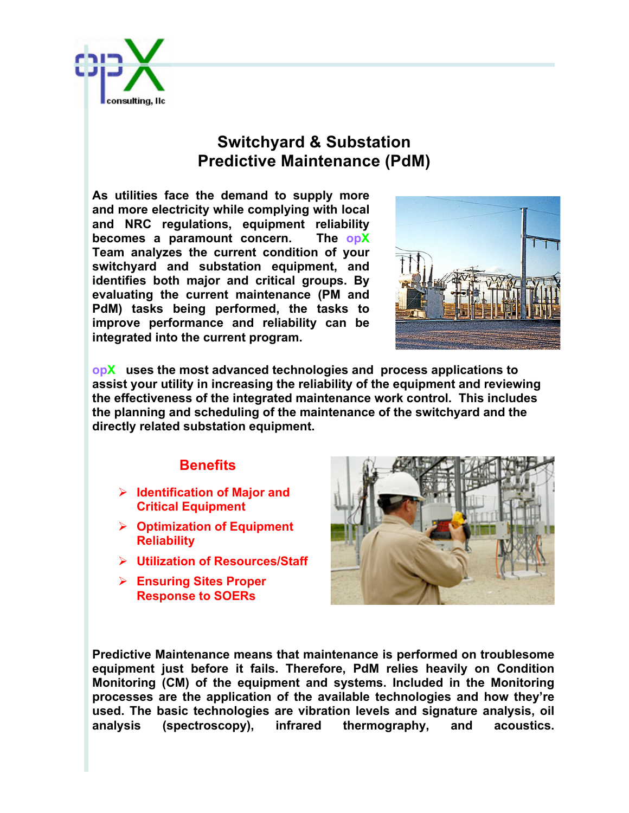

## **Switchyard & Substation Predictive Maintenance (PdM)**

**As utilities face the demand to supply more and more electricity while complying with local and NRC regulations, equipment reliability becomes a paramount concern. The opX Team analyzes the current condition of your switchyard and substation equipment, and identifies both major and critical groups. By evaluating the current maintenance (PM and PdM) tasks being performed, the tasks to improve performance and reliability can be integrated into the current program.** 



**opX uses the most advanced technologies and process applications to assist your utility in increasing the reliability of the equipment and reviewing the effectiveness of the integrated maintenance work control. This includes the planning and scheduling of the maintenance of the switchyard and the directly related substation equipment.** 

## **Benefits**

- Ø **Identification of Major and Critical Equipment**
- Ø **Optimization of Equipment Reliability**
- Ø **Utilization of Resources/Staff**
- Ø **Ensuring Sites Proper Response to SOERs**



**Predictive Maintenance means that maintenance is performed on troublesome equipment just before it fails. Therefore, PdM relies heavily on Condition Monitoring (CM) of the equipment and systems. Included in the Monitoring processes are the application of the available technologies and how they're used. The basic technologies are vibration levels and signature analysis, oil analysis (spectroscopy), infrared thermography, and acoustics.**